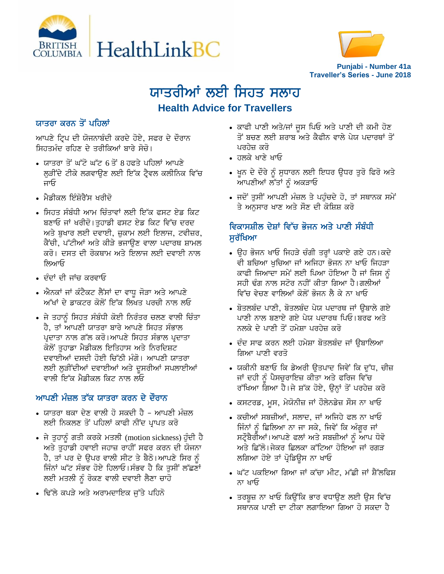



# ਯਾਤਰੀਆਂ ਲਈ ਸਿਹਤ ਸਲਾਹ **Health Advice for Travellers**

#### ਯਾਤਰਾ ਕਰਨ ਤੋਂ ਪਹਿਲਾਂ

ਆਪਣੇ ਟ੍ਰਿਪ ਦੀ ਯੋਜਨਾਬੰਦੀ ਕਰਦੇ ਹੋਏ, ਸਫਰ ਦੇ ਦੌਰਾਨ ਸਿਹਤਮੰਦ ਰਹਿਣ ਦੇ ਤਰੀਕਿਆਂ ਬਾਰੇ ਸੋਚੋ।

- ਯਾਤਰਾ ਤੋਂ ਘੱਟੋ ਘੱਟ 6 ਤੋਂ 8 ਹਫਤੇ ਪਹਿਲਾਂ ਆਪਣੇ ਲੜੀਂਦੇ ਟੀਕੇ ਲਗਵਾਉਣ ਲਈ ਇੱਕ ਟ੍ਰੈਵਲ ਕਲੀਨਿਕ ਵਿੱਚ ਜਾਓ
- ਮੈਡੀਕਲ ਇੰਸ਼ੋਰੈਂਸ ਖਰੀਦੋ
- ਸਿਹਤ ਸੰਬੰਧੀ ਆਮ ਚਿੰਤਾਵਾਂ ਲਈ ਇੱਕ ਫਸਟ ਏਡ ਕਿਟ ਬਣਾਓ ਜਾਂ ਖਰੀਦੋ।ਤਹਾਡੀ ਫਸਟ ਏਡ ਕਿਟ ਵਿੱਚ ਦਰਦ ਅਤੇ ਬੁਖਾਰ ਲਈ ਦਵਾਈ, ਜ਼ੁਕਾਮ ਲਈ ਇਲਾਜ, ਟਵੀਜ਼ਰ, ਕੈਂਚੀ, ਪੱਟੀਆਂ ਅਤੇ ਕੀੜੇ ਭਜਾਉਣ ਵਾਲਾ ਪਦਾਰਥ ਸ਼ਾਮਲ ਕਰੋ। ਦਸਤ ਦੀ ਰੋਕਥਾਮ ਅਤੇ ਇਲਾਜ ਲਈ ਦਵਾਈ ਨਾਲ ਲਿਆਓ
- ਦੰਦਾਂ ਦੀ ਜਾਂਚ ਕਰਵਾਓ
- . ਐਨਕਾਂ ਜਾਂ ਕੰਟੈਕਟ ਲੈਂਸਾਂ ਦਾ ਵਾਧੂ ਜੋੜਾ ਅਤੇ ਆਪਣੇ <u>ਅੱਖਾਂ ਦੇ ਡਾਕਟਰ ਕੋਲੋਂ ਇੱਕ ਲਿਖਤ ਪਰਚੀ ਨਾਲ ਲਓ</u>
- ਜੇ ਤਹਾਨੰ ਸਿਹਤ ਸੰਬੰਧੀ ਕੋਈ ਨਿਰੰਤਰ ਚਲਣ ਵਾਲੀ ਚਿੰਤਾ ਹੈ, ਤਾਂ ਆਪਣੀ ਯਾਤਰਾ ਬਾਰੇ ਆਪਣੇ ਸਿਹਤ ਸੰਭਾਲ ਪ੍ਰਦਾਤਾ ਨਾਲ ਗੱਲ ਕਰੋ।ਆਪਣੇ ਸਿਹਤ ਸੰਭਾਲ ਪ੍ਰਦਾਤਾ ਕੋਲੋਂ ਤਹਾਡਾ ਮੈਡੀਕਲ ਇਤਿਹਾਸ ਅਤੇ ਨਿਰਦਿਸ਼ਟ ਦਵਾਈਆਂ ਦਸਦੀ ਹੋਈ ਚਿੱਠੀ ਮੰਗੋ। ਆਪਣੀ ਯਾਤਰ<u>ਾ</u> ਲਈ ਲੁੜੀਂਦੀਆਂ ਦਵਾਈਆਂ ਅਤੇ ਦੁਸਰੀਆਂ ਸਪਲਾਈਆਂ ਵਾਲੀ ਇੱਕ ਮੈਡੀਕਲ ਕਿਟ ਨਾਲ ਲਓ

## <u>ਆਪਣੀ ਮੰਜ਼ਲ ਤੱਕ ਯਾਤਰਾ ਕਰਨ ਦੇ ਦੌਰਾਨ</u>

- ਯਾਤਰਾ ਥਕਾ ਦੇਣ ਵਾਲੀ ਹੋ ਸਕਦੀ ਹੈ ਆਪਣੀ ਮੰਜ਼ਲ ਲਈ ਨਿਕਲਣ ਤੋਂ ਪਹਿਲਾਂ ਕਾਫੀ ਨੀਂਦ ਪਾਪਤ ਕਰੋ
- $\bullet$  ਜੇ ਤੁਹਾਨੂੰ ਗਤੀ ਕਰਕੇ ਮਤਲੀ (motion sickness) ਹੁੰਦੀ ਹੈ ਅਤੇ ਤੁਹਾਡੀ ਹਵਾਈ ਜਹਾਜ਼ ਰਾਹੀਂ ਸਫਰ ਕਰਨ ਦੀ ਯੋਜਨਾ ਹੈ, ਤਾਂ ਪਰ ਦੇ ਉਪਰ ਵਾਲੀ ਸੀਟ ਤੇ ਬੈਠੋ।ਆਪਣੇ ਸਿਰ ਨੂੰ ਜਿੰਨਾਂ ਘੱਟ ਸੰਭਵ ਹੋਏ ਹਿਲਾਓ।ਸੰਭਵ ਹੈ ਕਿ ਤੁਸੀਂ ਲੱਛਣਾਂ ਲਈ ਮਤਲੀ ਨੂੰ ਰੋਕਣ ਵਾਲੀ ਦਵਾਈ ਲੈਣਾ ਚਾਹੋ
- ਢਿੱਲੇ ਕਪੜੇ ਅਤੇ ਅਰਾਮਦਾਇਕ ਜੱਤੇ ਪਹਿਨੋ
- ਕਾਫੀ ਪਾਣੀ ਅਤੇ/ਜਾਂ ਜੂਸ ਪਿਓ ਅਤੇ ਪਾਣੀ ਦੀ ਕਮੀ ਹੋਣ ਤੋਂ ਬਚਣ ਲਈ ਸ਼ਰਾਬ ਅਤੇ ਕੈਫੀਨ ਵਾਲੇ ਪੇਯ ਪਦਾਰਥਾਂ ਤੋਂ ਪਰਹੇਜ਼ ਕਰੋ
- ਹਲਕੇ ਖਾਣੇ ਖਾਓ
- ਖੁਨ ਦੇ ਦੌਰੇ ਨੂੰ ਸੁਧਾਰਨ ਲਈ ਇਧਰ ਉਧਰ ਤੁਰੋ ਫਿਰੋ ਅਤੇ ਆਪਣੀਆਂ ਲੱਤਾਂ ਨੂੰ ਅਕੜਾਓ
- ਜਦੋਂ ਤੁਸੀਂ ਆਪਣੀ ਮੰਜ਼ਲ ਤੇ ਪਹੁੰਚਦੇ ਹੋ, ਤਾਂ ਸਥਾਨਕ ਸਮੇਂ ਤੇ ਅਨਸਾਰ ਖਾਣ ਅਤੇ ਸੌਣ ਦੀ ਕੋਸ਼ਿਸ਼ ਕਰ<mark>ੋ</mark>

## ਵਿਕਾਸਸ਼ੀਲ ਦੇਸ਼ਾਂ ਵਿੱਚ ਭੋਜਨ ਅਤੇ ਪਾਣੀ ਸੰਬੰਧੀ ਸਰੱਖਿਆ

- ਉਹ ਭੋਜਨ ਖਾਓ ਜਿਹੜੇ ਚੰਗੀ ਤਰ੍ਹਾਂ ਪਕਾਏ ਗਏ ਹਨ।ਕਦੇ ਵੀ ਬਚਿਆ ਖੁਚਿਆ ਜਾਂ ਅਜਿਹਾ ਭੋਜਨ ਨਾ ਖਾਓ ਜਿਹੜਾ ਕਾਫੀ ਜਿਆਦਾ ਸਮੇਂ ਲਈ ਪਿਆ ਹੋਇਆ ਹੈ ਜਾਂ ਜਿਸ ਨੂੰ ਸਹੀ ਢੰਗ ਨਾਲ ਸਟੋਰ ਨਹੀਂ ਕੀਤਾ ਗਿਆ ਹੈ।ਗਲੀਆਂ <u>ਵਿੱਚ ਵੇਚਣ ਵਾਲਿਆਂ ਕੋਲੋਂ ਭੋਜਨ ਲੈ ਕੇ ਨਾ ਖਾਓ</u>
- ਬੋਤਲਬੰਦ ਪਾਣੀ, ਬੋਤਲਬੰਦ ਪੇਯ ਪਦਾਰਥ ਜਾਂ ੳਬਾਲੇ ਗਏ ਪਾਣੀ ਨਾਲ ਬਣਾਏ ਗਏ ਪੇਯ ਪਦਾਰਥ ਪਿਓ।ਬਰਫ ਅਤੇ ਨਲਕੇ ਦੇ ਪਾਣੀ ਤੋਂ ਹਮੇਸਾ ਪਰਹੇਜ਼ ਕਰੋ
- $\bullet$  ਦੰਦ ਸਾਫ ਕਰਨ ਲਈ ਹਮੇਸ਼ਾ ਬੋਤਲਬੰਦ ਜਾਂ ੳਬਾਲਿਆ ਗਿਆ ਪਾਣੀ ਵਰਤੋ
- ਯਕੀਨੀ ਬਣਾਓ ਕਿ ਡੇਅਰੀ ਉਤਪਾਦ ਜਿਵੇਂ ਕਿ ਦੁੱਧ, ਚੀਜ਼ ਜਾਂ ਦਹੀ ਨੂੰ ਪੈਸਚੁਰਾਇਜ਼ ਕੀਤਾ ਅਤੇ ਫਰਿਜ ਵਿੱਚ ਰੱਖਿਆ ਗਿਆ ਹੈ।ਜੇ ਸ਼ੱਕ ਹੋਏ, ਉਨ੍ਹਾਂ ਤੋਂ ਪਰਹੇਜ਼ ਕਰੋ
- ਕਸਟਰਡ, ਮੁਸ, ਮੇਯੋਨੀਜ਼ ਜਾਂ ਹੌਲੇਨਡੇਜ਼ ਸੌਸ ਨਾ ਖਾਓ
- ਕਚੀਆਂ ਸਬਜ਼ੀਆਂ, ਸਲਾਦ, ਜਾਂ ਅਜਿਹੇ ਫਲ ਨਾ ਖਾਓ ਜਿੰਨਾਂ ਨੂੰ ਛਿਲਿਆ ਨਾ ਜਾ ਸਕੇ, ਜਿਵੇਂ ਕਿ ਅੰਗੁਰ ਜਾਂ ਸਟੌਬੈਰੀਆਂ।ਆਪਣੇ ਫਲਾਂ ਅਤੇ ਸਬਜ਼ੀਆਂ ਨੂੰ ਆਪ ਧੋਵੋ ਅਤੇ ਛਿੱਲੋ।ਜੇਕਰ ਛਿਲਕਾ ਕੱਟਿਆ ਹੋਇਆ ਜਾਂ ਰਗੜ ਲਗਿਆ ਹੋਏ ਤਾਂ ਪ੍ਰੋਡਿਉਸ ਨਾ ਖਾਓ
- ਘੱਟ ਪਕਇਆ ਗਿਆ ਜਾਂ ਕੱਚਾ ਮੀਟ, ਮੱਛੀ ਜਾਂ ਸ਼ੈੱਲਫਿਸ਼ ਨਾ ਖਾਓ
- ∙ ਤਰਬੁਜ਼ ਨਾ ਖਾਓ ਕਿਉਂਕਿ ਭਾਰ ਵਧਾਉਣ ਲਈ ਉਸ ਵਿੱਚ ਸਥਾਨਕ ਪਾਣੀ ਦਾ ਟੀਕਾ ਲਗਾਇਆ ਗਿਆ ਹੋ ਸਕਦਾ ਹੈ